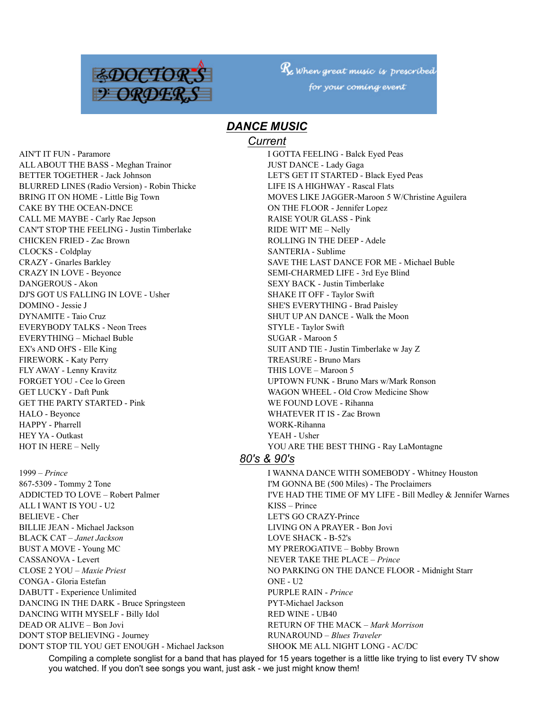

 $R_{\!\!\rm z}$  when great music is prescribed for your coming event

# *DANCE MUSIC*

#### *Current*

AIN'T IT FUN - Paramore **I GOTTA FEELING - Balck Eyed Peas** ALL ABOUT THE BASS - Meghan Trainor **JUST DANCE - Lady Gaga** BETTER TOGETHER - Jack Johnson LET'S GET IT STARTED - Black Eyed Peas BLURRED LINES (Radio Version) - Robin Thicke LIFE IS A HIGHWAY - Rascal Flats CAKE BY THE OCEAN-DNCE ON THE FLOOR - Jennifer Lopez CALL ME MAYBE - Carly Rae Jepson RAISE YOUR GLASS - Pink CAN'T STOP THE FEELING - Justin Timberlake RIDE WIT' ME – Nelly CHICKEN FRIED - Zac Brown ROLLING IN THE DEEP - Adele CLOCKS - Coldplay SANTERIA - Sublime CRAZY IN LOVE - Beyonce SEMI-CHARMED LIFE - 3rd Eye Blind DANGEROUS - Akon SEXY BACK - Justin Timberlake DJ'S GOT US FALLING IN LOVE - Usher SHAKE IT OFF - Taylor Swift DOMINO - Jessie J SHE'S EVERYTHING - Brad Paisley DYNAMITE - Taio Cruz SHUT UP AN DANCE - Walk the Moon EVERYBODY TALKS - Neon Trees STYLE - Taylor Swift EVERYTHING – Michael Buble SUGAR - Maroon 5 EX's AND OH'S - Elle King SUIT AND TIE - Justin Timberlake w Jay Z FIREWORK - Katy Perry TREASURE - Bruno Mars FLY AWAY - Lenny Kravitz THIS LOVE – Maroon 5 GET LUCKY - Daft Punk WAGON WHEEL - Old Crow Medicine Show GET THE PARTY STARTED - Pink WE FOUND LOVE - Rihanna HALO - Beyonce WHATEVER IT IS - Zac Brown HAPPY - Pharrell WORK-Rihanna HEY YA - Outkast YEAH - Usher HOT IN HERE – Nelly **HOT IN HERE – Nelly YOU ARE THE BEST THING - Ray LaMontagne** 

867-5309 - Tommy 2 Tone I'M GONNA BE (500 Miles) - The Proclaimers ALL I WANT IS YOU - U2 KISS – Prince BELIEVE - Cher LET'S GO CRAZY-Prince BILLIE JEAN - Michael Jackson LIVING ON A PRAYER - Bon Jovi BLACK CAT – *Janet Jackson* LOVE SHACK - B-52's BUST A MOVE - Young MC MY PREROGATIVE – Bobby Brown CASSANOVA - Levert NEVER TAKE THE PLACE – *Prince* CONGA - Gloria Estefan ONE - U2 DABUTT - Experience Unlimited PURPLE RAIN - *Prince* DANCING IN THE DARK - Bruce Springsteen PYT-Michael Jackson DANCING WITH MYSELF - Billy Idol RED WINE - UB40 DEAD OR ALIVE – Bon Jovi RETURN OF THE MACK – *Mark Morrison* DON'T STOP BELIEVING - Journey RUNAROUND – *Blues Traveler* DON'T STOP TIL YOU GET ENOUGH - Michael Jackson SHOOK ME ALL NIGHT LONG - AC/DC

BRING IT ON HOME - Little Big Town MOVES LIKE JAGGER-Maroon 5 W/Christine Aguilera CRAZY - Gnarles Barkley SAVE THE LAST DANCE FOR ME - Michael Buble FORGET YOU - Cee lo Green UPTOWN FUNK - Bruno Mars w/Mark Ronson

## *80's & 90's*

1999 – *Prince* I WANNA DANCE WITH SOMEBODY - Whitney Houston ADDICTED TO LOVE – Robert Palmer IVE HAD THE TIME OF MY LIFE - Bill Medley & Jennifer Warnes CLOSE 2 YOU – *Maxie Priest* NO PARKING ON THE DANCE FLOOR - Midnight Starr

Compiling a complete songlist for a band that has played for 15 years together is a little like trying to list every TV show you watched. If you don't see songs you want, just ask - we just might know them!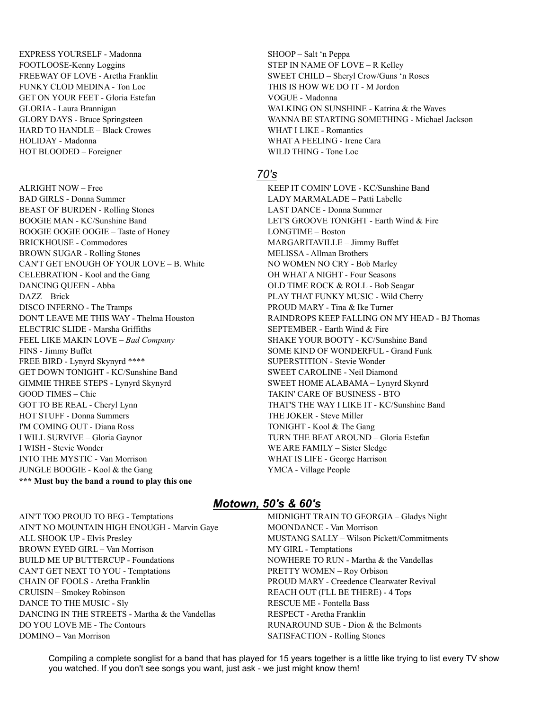EXPRESS YOURSELF - Madonna SHOOP – Salt 'n Peppa FOOTLOOSE-Kenny Loggins STEP IN NAME OF LOVE – R Kelley FUNKY CLOD MEDINA - Ton Loc THIS IS HOW WE DO IT - M Jordon GET ON YOUR FEET - Gloria Estefan VOGUE - Madonna HARD TO HANDLE – Black Crowes WHAT I LIKE - Romantics HOLIDAY - Madonna WHAT A FEELING - Irene Cara HOT BLOODED – Foreigner WILD THING - Tone Loc

BAD GIRLS - Donna Summer LADY MARMALADE – Patti Labelle BEAST OF BURDEN - Rolling Stones LAST DANCE - Donna Summer BOOGIE MAN - KC/Sunshine Band LET'S GROOVE TONIGHT - Earth Wind & Fire BOOGIE OOGIE OOGIE – Taste of Honey LONGTIME – Boston BRICKHOUSE - Commodores MARGARITAVILLE – Jimmy Buffet BROWN SUGAR - Rolling Stones MELISSA - Allman Brothers CAN'T GET ENOUGH OF YOUR LOVE – B. White NO WOMEN NO CRY - Bob Marley CELEBRATION - Kool and the Gang OH WHAT A NIGHT - Four Seasons DANCING QUEEN - Abba OLD TIME ROCK & ROLL - Bob Seagar DAZZ – Brick PLAY THAT FUNKY MUSIC - Wild Cherry DISCO INFERNO - The Tramps **PROUD MARY** - Tina & Ike Turner ELECTRIC SLIDE - Marsha Griffiths SEPTEMBER - Earth Wind & Fire FEEL LIKE MAKIN LOVE – Bad Company SHAKE YOUR BOOTY - KC/Sunshine Band FINS - Jimmy Buffet SOME KIND OF WONDERFUL - Grand Funk FREE BIRD - Lynyrd Skynyrd \*\*\*\* SUPERSTITION - Stevie Wonder GET DOWN TONIGHT - KC/Sunshine Band SWEET CAROLINE - Neil Diamond GIMMIE THREE STEPS - Lynyrd Skynyrd SWEET HOME ALABAMA – Lynyrd Skynrd GOOD TIMES – Chic TAKIN' CARE OF BUSINESS - BTO GOT TO BE REAL - Cheryl Lynn THAT'S THE WAY I LIKE IT - KC/Sunshine Band HOT STUFF - Donna Summers THE JOKER - Steve Miller I'M COMING OUT - Diana Ross TONIGHT - Kool & The Gang I WILL SURVIVE – Gloria Gaynor TURN THE BEAT AROUND – Gloria Estefan I WISH - Stevie Wonder WE ARE FAMILY – Sister Sledge INTO THE MYSTIC - Van Morrison WHAT IS LIFE - George Harrison JUNGLE BOOGIE - Kool & the Gang YMCA - Village People **\*\*\* Must buy the band a round to play this one**

FREEWAY OF LOVE - Aretha Franklin SWEET CHILD – Sheryl Crow/Guns 'n Roses GLORIA - Laura Brannigan WALKING ON SUNSHINE - Katrina & the Waves GLORY DAYS - Bruce Springsteen WANNA BE STARTING SOMETHING - Michael Jackson

#### *70's*

ALRIGHT NOW – Free KEEP IT COMIN' LOVE - KC/Sunshine Band DON'T LEAVE ME THIS WAY - Thelma Houston RAINDROPS KEEP FALLING ON MY HEAD - BJ Thomas

AIN'T NO MOUNTAIN HIGH ENOUGH - Marvin Gaye MOONDANCE - Van Morrison ALL SHOOK UP - Elvis Presley MUSTANG SALLY – Wilson Pickett/Commitments BROWN EYED GIRL – Van Morrison MY GIRL - Temptations BUILD ME UP BUTTERCUP - Foundations NOWHERE TO RUN - Martha & the Vandellas CAN'T GET NEXT TO YOU - Temptations PRETTY WOMEN – Roy Orbison CHAIN OF FOOLS - Aretha Franklin PROUD MARY - Creedence Clearwater Revival CRUISIN – Smokey Robinson REACH OUT (I'LL BE THERE) - 4 Tops DANCE TO THE MUSIC - Sly RESCUE ME - Fontella Bass DANCING IN THE STREETS - Martha & the Vandellas RESPECT - Aretha Franklin DO YOU LOVE ME - The Contours **RUNAROUND** SUE - Dion & the Belmonts DOMINO – Van Morrison SATISFACTION - Rolling Stones

#### *Motown, 50's & 60's*

AIN'T TOO PROUD TO BEG - Temptations MIDNIGHT TRAIN TO GEORGIA - Gladys Night

Compiling a complete songlist for a band that has played for 15 years together is a little like trying to list every TV show you watched. If you don't see songs you want, just ask - we just might know them!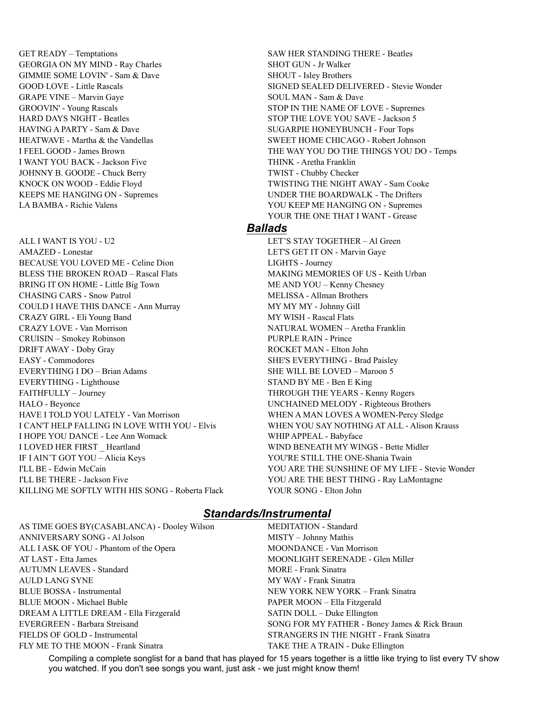GET READY – Temptations SAW HER STANDING THERE - Beatles GEORGIA ON MY MIND - Ray Charles SHOT GUN - Jr Walker GIMMIE SOME LOVIN' - Sam & Dave SHOUT - Isley Brothers GRAPE VINE – Marvin Gaye SOUL MAN - Sam & Dave I WANT YOU BACK - Jackson Five THINK - Aretha Franklin JOHNNY B. GOODE - Chuck Berry TWIST - Chubby Checker

ALL I WANT IS YOU - U2 LET'S STAY TOGETHER – AI Green AMAZED - Lonestar LET'S GET IT ON - Marvin Gaye BECAUSE YOU LOVED ME - Celine Dion LIGHTS - Journey BLESS THE BROKEN ROAD – Rascal Flats MAKING MEMORIES OF US - Keith Urban BRING IT ON HOME - Little Big Town ME AND YOU – Kenny Chesney CHASING CARS - Snow Patrol MELISSA - Allman Brothers COULD I HAVE THIS DANCE - Ann Murray MY MY MY MY - Johnny Gill CRAZY GIRL - Eli Young Band MY WISH - Rascal Flats CRAZY LOVE - Van Morrison NATURAL WOMEN – Aretha Franklin CRUISIN – Smokey Robinson PURPLE RAIN - Prince DRIFT AWAY - Doby Gray ROCKET MAN - Elton John EASY - Commodores SHE'S EVERYTHING - Brad Paisley EVERYTHING I DO – Brian Adams SHE WILL BE LOVED – Maroon 5 EVERYTHING - Lighthouse STAND BY ME - Ben E King FAITHFULLY – Journey THROUGH THE YEARS - Kenny Rogers HALO - Beyonce UNCHAINED MELODY - Righteous Brothers HAVE I TOLD YOU LATELY - Van Morrison WHEN A MAN LOVES A WOMEN-Percy Sledge I CAN'T HELP FALLING IN LOVE WITH YOU - Elvis WHEN YOU SAY NOTHING AT ALL - Alison Krauss I HOPE YOU DANCE - Lee Ann Womack WHIP APPEAL - Babyface I LOVED HER FIRST Heartland WIND BENEATH MY WINGS - Bette Midler IF I AIN'T GOT YOU – Alicia Keys YOU'RE STILL THE ONE-Shania Twain I'LL BE THERE - Jackson Five YOU ARE THE BEST THING - Ray LaMontagne KILLING ME SOFTLY WITH HIS SONG - Roberta Flack YOUR SONG - Elton John

GOOD LOVE - Little Rascals SIGNED SEALED DELIVERED - Stevie Wonder GROOVIN' - Young Rascals STOP IN THE NAME OF LOVE - Supremes HARD DAYS NIGHT - Beatles STOP THE LOVE YOU SAVE - Jackson 5 HAVING A PARTY - Sam & Dave SUGARPIE HONEYBUNCH - Four Tops HEATWAVE - Martha & the Vandellas SWEET HOME CHICAGO - Robert Johnson I FEEL GOOD - James Brown THE WAY YOU DO THE THINGS YOU DO - Temps KNOCK ON WOOD - Eddie Floyd TWISTING THE NIGHT AWAY - Sam Cooke KEEPS ME HANGING ON - Supremes UNDER THE BOARDWALK - The Drifters LA BAMBA - Richie Valens YOU KEEP ME HANGING ON - Supremes YOUR THE ONE THAT I WANT - Grease

#### *Ballads*

I'LL BE - Edwin McCain YOU ARE THE SUNSHINE OF MY LIFE - Stevie Wonder

### *Standards/Instrumental*

AS TIME GOES BY(CASABLANCA) - Dooley Wilson MEDITATION - Standard ANNIVERSARY SONG - Al Jolson MISTY – Johnny Mathis ALL I ASK OF YOU - Phantom of the Opera MOONDANCE - Van Morrison AT LAST - Etta James MOONLIGHT SERENADE - Glen Miller AUTUMN LEAVES - Standard MORE - Frank Sinatra AULD LANG SYNE MY WAY - Frank Sinatra BLUE BOSSA - Instrumental NEW YORK NEW YORK – Frank Sinatra BLUE MOON - Michael Buble PAPER MOON – Ella Fitzgerald DREAM A LITTLE DREAM - Ella Firzgerald SATIN DOLL – Duke Ellington EVERGREEN - Barbara Streisand SONG FOR MY FATHER - Boney James & Rick Braun FIELDS OF GOLD - Instrumental STRANGERS IN THE NIGHT - Frank Sinatra FLY ME TO THE MOON - Frank Sinatra TAKE THE A TRAIN - Duke Ellington

Compiling a complete songlist for a band that has played for 15 years together is a little like trying to list every TV show you watched. If you don't see songs you want, just ask - we just might know them!